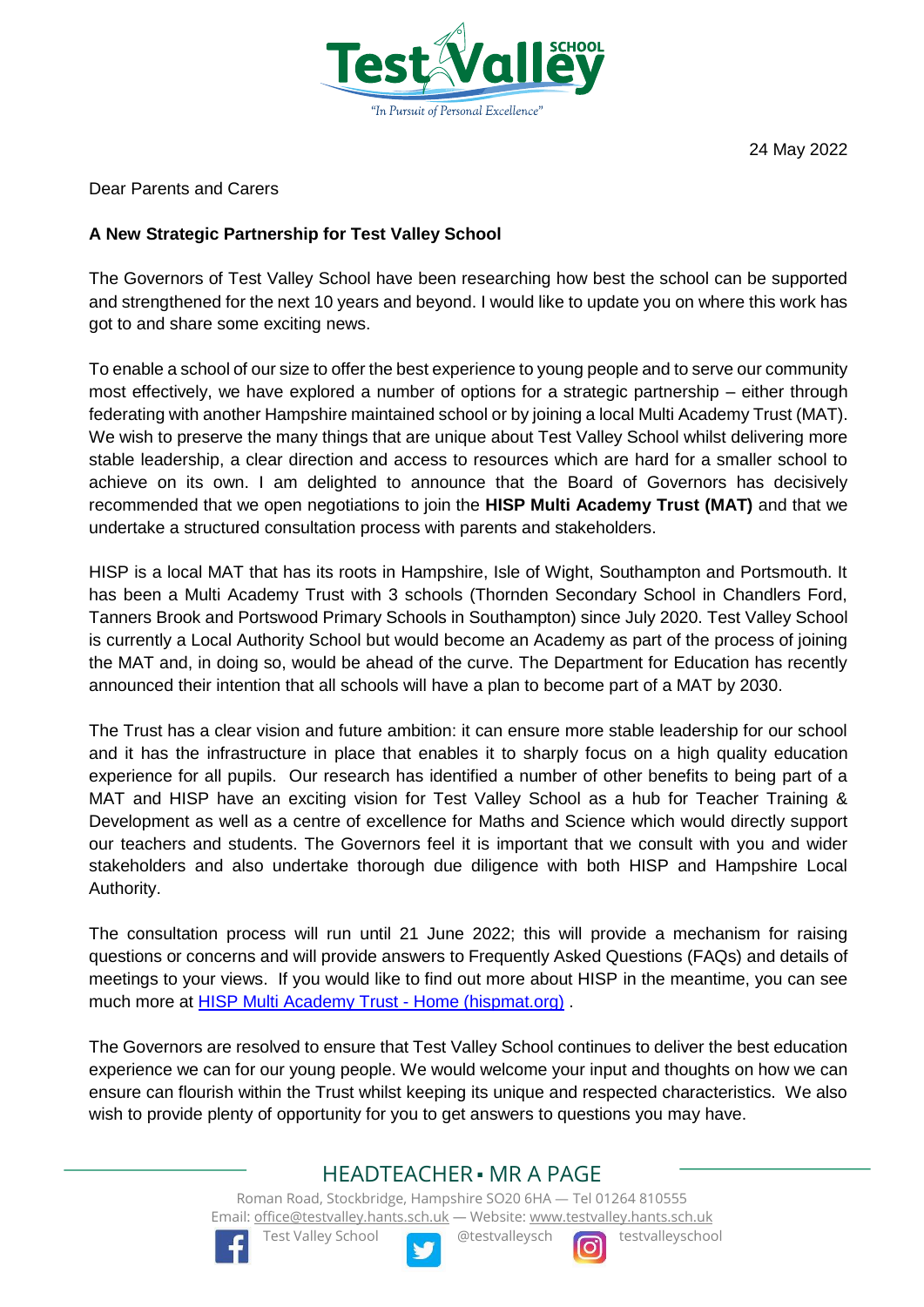

Dear Parents and Carers

### **A New Strategic Partnership for Test Valley School**

The Governors of Test Valley School have been researching how best the school can be supported and strengthened for the next 10 years and beyond. I would like to update you on where this work has got to and share some exciting news.

To enable a school of our size to offer the best experience to young people and to serve our community most effectively, we have explored a number of options for a strategic partnership – either through federating with another Hampshire maintained school or by joining a local Multi Academy Trust (MAT). We wish to preserve the many things that are unique about Test Valley School whilst delivering more stable leadership, a clear direction and access to resources which are hard for a smaller school to achieve on its own. I am delighted to announce that the Board of Governors has decisively recommended that we open negotiations to join the **HISP Multi Academy Trust (MAT)** and that we undertake a structured consultation process with parents and stakeholders.

HISP is a local MAT that has its roots in Hampshire, Isle of Wight, Southampton and Portsmouth. It has been a Multi Academy Trust with 3 schools (Thornden Secondary School in Chandlers Ford, Tanners Brook and Portswood Primary Schools in Southampton) since July 2020. Test Valley School is currently a Local Authority School but would become an Academy as part of the process of joining the MAT and, in doing so, would be ahead of the curve. The Department for Education has recently announced their intention that all schools will have a plan to become part of a MAT by 2030.

The Trust has a clear vision and future ambition: it can ensure more stable leadership for our school and it has the infrastructure in place that enables it to sharply focus on a high quality education experience for all pupils. Our research has identified a number of other benefits to being part of a MAT and HISP have an exciting vision for Test Valley School as a hub for Teacher Training & Development as well as a centre of excellence for Maths and Science which would directly support our teachers and students. The Governors feel it is important that we consult with you and wider stakeholders and also undertake thorough due diligence with both HISP and Hampshire Local Authority.

The consultation process will run until 21 June 2022; this will provide a mechanism for raising questions or concerns and will provide answers to Frequently Asked Questions (FAQs) and details of meetings to your views. If you would like to find out more about HISP in the meantime, you can see much more at **HISP Multi Academy Trust - Home (hispmat.org)**.

The Governors are resolved to ensure that Test Valley School continues to deliver the best education experience we can for our young people. We would welcome your input and thoughts on how we can ensure can flourish within the Trust whilst keeping its unique and respected characteristics. We also wish to provide plenty of opportunity for you to get answers to questions you may have.

## HEADTEACHER ■ MR A PAGE

Roman Road, Stockbridge, Hampshire SO20 6HA — Tel 01264 810555 Email[: office@testvalley.hants.sch.uk](mailto:office@testvalley.hants.sch.uk) — Website[: www.testvalley.hants.sch.uk](http://www.testvalley.hants.sch.uk/)



Test Valley School **Queen** @testvalleysch **testvalleyschool**